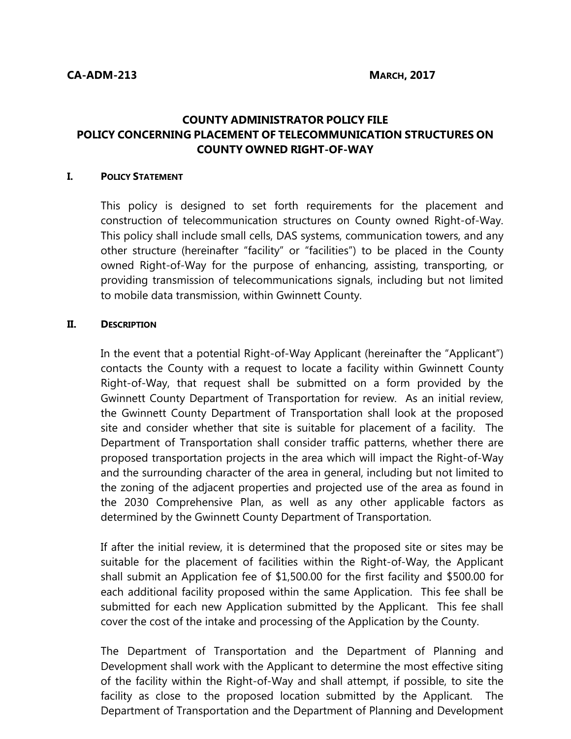## **COUNTY ADMINISTRATOR POLICY FILE POLICY CONCERNING PLACEMENT OF TELECOMMUNICATION STRUCTURES ON COUNTY OWNED RIGHT-OF-WAY**

## **I. POLICY STATEMENT**

This policy is designed to set forth requirements for the placement and construction of telecommunication structures on County owned Right-of-Way. This policy shall include small cells, DAS systems, communication towers, and any other structure (hereinafter "facility" or "facilities") to be placed in the County owned Right-of-Way for the purpose of enhancing, assisting, transporting, or providing transmission of telecommunications signals, including but not limited to mobile data transmission, within Gwinnett County.

## **II. DESCRIPTION**

In the event that a potential Right-of-Way Applicant (hereinafter the "Applicant") contacts the County with a request to locate a facility within Gwinnett County Right-of-Way, that request shall be submitted on a form provided by the Gwinnett County Department of Transportation for review. As an initial review, the Gwinnett County Department of Transportation shall look at the proposed site and consider whether that site is suitable for placement of a facility. The Department of Transportation shall consider traffic patterns, whether there are proposed transportation projects in the area which will impact the Right-of-Way and the surrounding character of the area in general, including but not limited to the zoning of the adjacent properties and projected use of the area as found in the 2030 Comprehensive Plan, as well as any other applicable factors as determined by the Gwinnett County Department of Transportation.

If after the initial review, it is determined that the proposed site or sites may be suitable for the placement of facilities within the Right-of-Way, the Applicant shall submit an Application fee of \$1,500.00 for the first facility and \$500.00 for each additional facility proposed within the same Application. This fee shall be submitted for each new Application submitted by the Applicant. This fee shall cover the cost of the intake and processing of the Application by the County.

The Department of Transportation and the Department of Planning and Development shall work with the Applicant to determine the most effective siting of the facility within the Right-of-Way and shall attempt, if possible, to site the facility as close to the proposed location submitted by the Applicant. The Department of Transportation and the Department of Planning and Development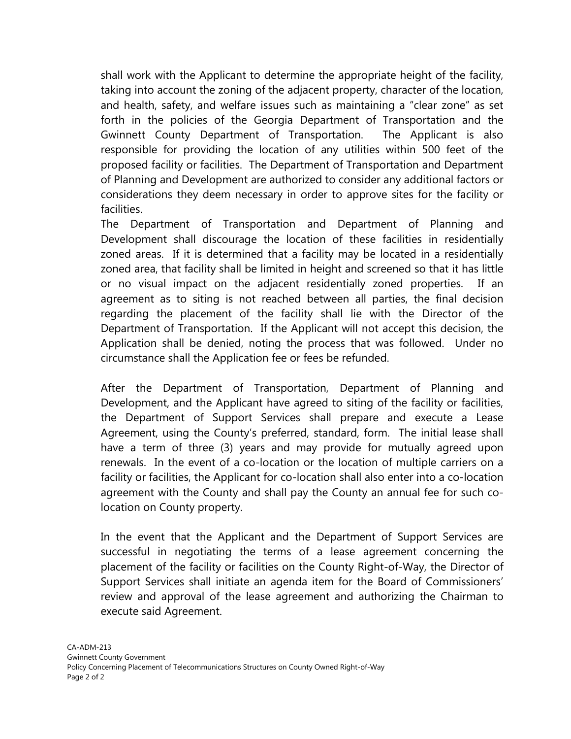shall work with the Applicant to determine the appropriate height of the facility, taking into account the zoning of the adjacent property, character of the location, and health, safety, and welfare issues such as maintaining a "clear zone" as set forth in the policies of the Georgia Department of Transportation and the Gwinnett County Department of Transportation. The Applicant is also responsible for providing the location of any utilities within 500 feet of the proposed facility or facilities. The Department of Transportation and Department of Planning and Development are authorized to consider any additional factors or considerations they deem necessary in order to approve sites for the facility or facilities.

The Department of Transportation and Department of Planning and Development shall discourage the location of these facilities in residentially zoned areas. If it is determined that a facility may be located in a residentially zoned area, that facility shall be limited in height and screened so that it has little or no visual impact on the adjacent residentially zoned properties. If an agreement as to siting is not reached between all parties, the final decision regarding the placement of the facility shall lie with the Director of the Department of Transportation. If the Applicant will not accept this decision, the Application shall be denied, noting the process that was followed. Under no circumstance shall the Application fee or fees be refunded.

After the Department of Transportation, Department of Planning and Development, and the Applicant have agreed to siting of the facility or facilities, the Department of Support Services shall prepare and execute a Lease Agreement, using the County's preferred, standard, form. The initial lease shall have a term of three (3) years and may provide for mutually agreed upon renewals. In the event of a co-location or the location of multiple carriers on a facility or facilities, the Applicant for co-location shall also enter into a co-location agreement with the County and shall pay the County an annual fee for such colocation on County property.

In the event that the Applicant and the Department of Support Services are successful in negotiating the terms of a lease agreement concerning the placement of the facility or facilities on the County Right-of-Way, the Director of Support Services shall initiate an agenda item for the Board of Commissioners' review and approval of the lease agreement and authorizing the Chairman to execute said Agreement.